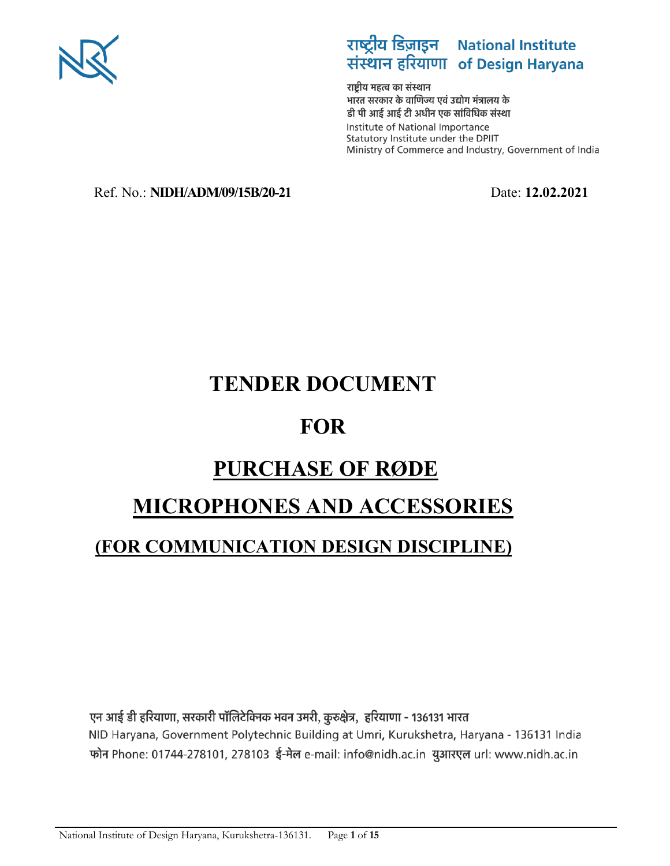

# राष्ट्रीय डिज़ाइन National Institute<br>संस्थान हरियाणा of Design Haryana

राष्टीय महत्व का संस्थान भारत सरकार के वाणिज्य एवं उद्योग मंत्रालय के डी पी आई आई टी अधीन एक सांविधिक संस्था Institute of National Importance Statutory Institute under the DPIIT Ministry of Commerce and Industry, Government of India

#### Ref. No.: **NIDH/ADM/09/15B/20-21** Date: **12.02.2021**

### **TENDER DOCUMENT**

### **FOR**

## **PURCHASE OF RØDE**

## **MICROPHONES AND ACCESSORIES**

### **(FOR COMMUNICATION DESIGN DISCIPLINE)**

एन आई डी हरियाणा, सरकारी पॉलिटेक्निक भवन उमरी, कुरुक्षेत्र, हरियाणा - 136131 भारत NID Haryana, Government Polytechnic Building at Umri, Kurukshetra, Haryana - 136131 India फोन Phone: 01744-278101, 278103 ई-मेल e-mail: info@nidh.ac.in युआरएल url: www.nidh.ac.in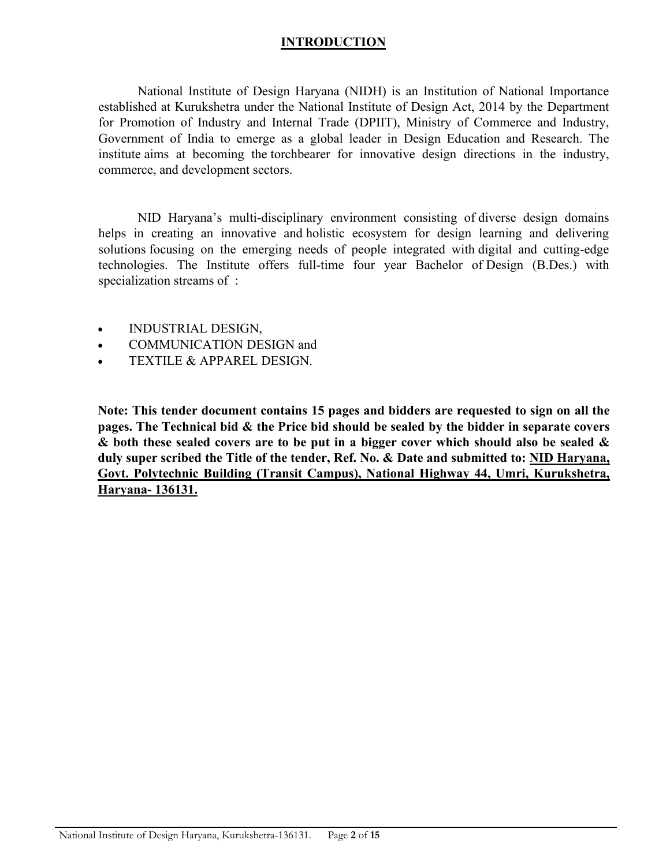#### **INTRODUCTION**

National Institute of Design Haryana (NIDH) is an Institution of National Importance established at Kurukshetra under the National Institute of Design Act, 2014 by the Department for Promotion of Industry and Internal Trade (DPIIT), Ministry of Commerce and Industry, Government of India to emerge as a global leader in Design Education and Research. The institute aims at becoming the torchbearer for innovative design directions in the industry, commerce, and development sectors.

NID Haryana's multi-disciplinary environment consisting of diverse design domains helps in creating an innovative and holistic ecosystem for design learning and delivering solutions focusing on the emerging needs of people integrated with digital and cutting-edge technologies. The Institute offers full-time four year Bachelor of Design (B.Des.) with specialization streams of :

- INDUSTRIAL DESIGN,
- COMMUNICATION DESIGN and
- TEXTILE & APPAREL DESIGN.

**Note: This tender document contains 15 pages and bidders are requested to sign on all the pages. The Technical bid & the Price bid should be sealed by the bidder in separate covers & both these sealed covers are to be put in a bigger cover which should also be sealed & duly super scribed the Title of the tender, Ref. No. & Date and submitted to: NID Haryana, Govt. Polytechnic Building (Transit Campus), National Highway 44, Umri, Kurukshetra, Haryana- 136131.**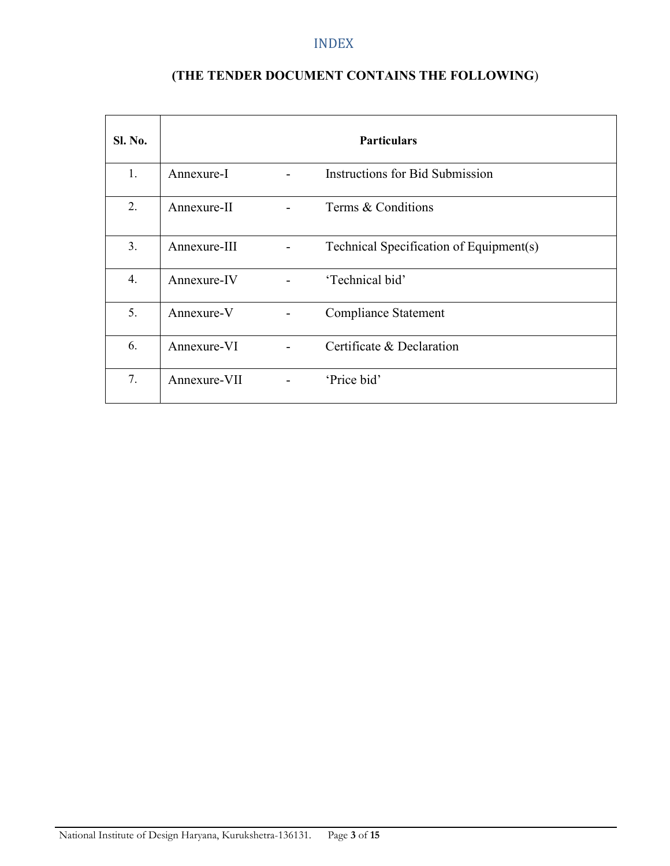INDEX

| <b>Sl. No.</b> |              | <b>Particulars</b>                      |
|----------------|--------------|-----------------------------------------|
| 1.             | Annexure-I   | Instructions for Bid Submission         |
| 2.             | Annexure-II  | Terms & Conditions                      |
| 3.             | Annexure-III | Technical Specification of Equipment(s) |
| 4.             | Annexure-IV  | 'Technical bid'                         |
| 5.             | Annexure-V   | <b>Compliance Statement</b>             |
| 6.             | Annexure-VI  | Certificate & Declaration               |
| 7.             | Annexure-VII | 'Price bid'                             |

### **(THE TENDER DOCUMENT CONTAINS THE FOLLOWING**)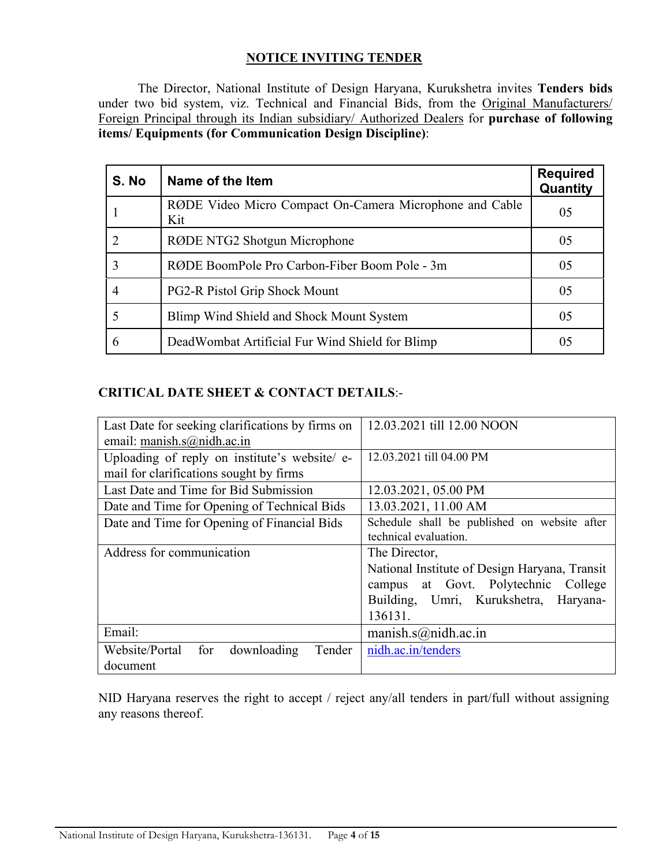#### **NOTICE INVITING TENDER**

The Director, National Institute of Design Haryana, Kurukshetra invites **Tenders bids** under two bid system, viz. Technical and Financial Bids, from the Original Manufacturers/ Foreign Principal through its Indian subsidiary/ Authorized Dealers for **purchase of following items/ Equipments (for Communication Design Discipline)**:

| S. No | Name of the Item                                               | <b>Required</b><br>Quantity |
|-------|----------------------------------------------------------------|-----------------------------|
|       | RØDE Video Micro Compact On-Camera Microphone and Cable<br>Kit | 05                          |
|       | RØDE NTG2 Shotgun Microphone                                   | 0 <sub>5</sub>              |
| 3     | RØDE BoomPole Pro Carbon-Fiber Boom Pole - 3m                  | 0 <sub>5</sub>              |
| 4     | PG2-R Pistol Grip Shock Mount                                  | 05                          |
|       | Blimp Wind Shield and Shock Mount System                       | 05                          |
| 6     | DeadWombat Artificial Fur Wind Shield for Blimp                | 0.5                         |

#### **CRITICAL DATE SHEET & CONTACT DETAILS**:-

| Last Date for seeking clarifications by firms on | 12.03.2021 till 12.00 NOON                    |  |  |
|--------------------------------------------------|-----------------------------------------------|--|--|
| email: manish.s@nidh.ac.in                       |                                               |  |  |
| Uploading of reply on institute's website/e-     | 12.03.2021 till 04.00 PM                      |  |  |
| mail for clarifications sought by firms          |                                               |  |  |
| Last Date and Time for Bid Submission            | 12.03.2021, 05.00 PM                          |  |  |
| Date and Time for Opening of Technical Bids      | 13.03.2021, 11.00 AM                          |  |  |
| Date and Time for Opening of Financial Bids      | Schedule shall be published on website after  |  |  |
|                                                  | technical evaluation.                         |  |  |
| Address for communication                        | The Director,                                 |  |  |
|                                                  | National Institute of Design Haryana, Transit |  |  |
|                                                  | campus at Govt. Polytechnic College           |  |  |
|                                                  | Building, Umri, Kurukshetra, Haryana-         |  |  |
|                                                  | 136131.                                       |  |  |
| Email:                                           | manish.s@nidh.ac.in                           |  |  |
| Website/Portal<br>downloading<br>Tender<br>for   | nidh.ac.in/tenders                            |  |  |
| document                                         |                                               |  |  |

NID Haryana reserves the right to accept / reject any/all tenders in part/full without assigning any reasons thereof.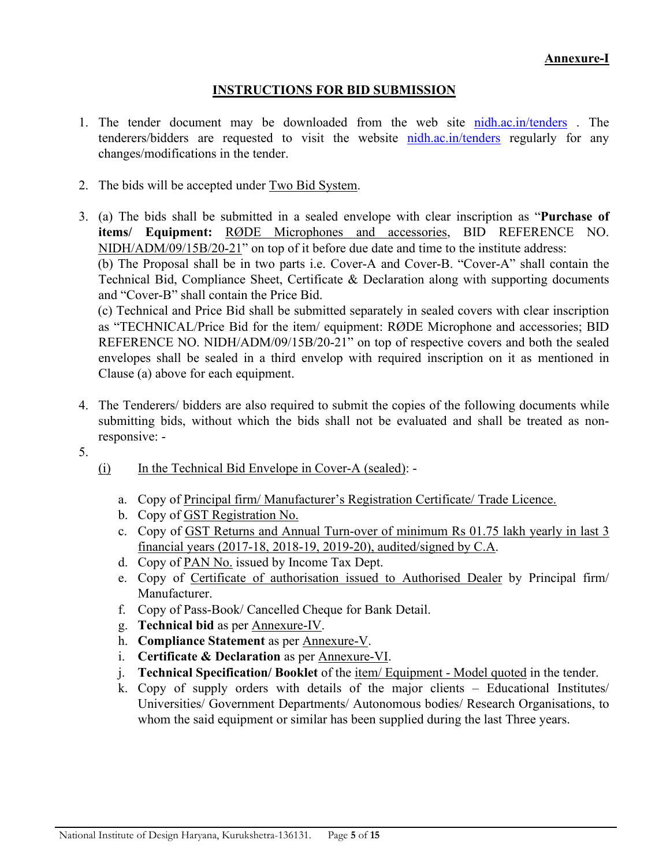#### **INSTRUCTIONS FOR BID SUBMISSION**

- 1. The tender document may be downloaded from the web site [nidh.ac.in/tenders](https://eprocure.gov.in/eprocure/app) . The tenderers/bidders are requested to visit the website [nidh.ac.in/tenders](https://eprocure.gov.in/eprocure/app) regularly for any changes/modifications in the tender.
- 2. The bids will be accepted under Two Bid System.
- 3. (a) The bids shall be submitted in a sealed envelope with clear inscription as "**Purchase of items/ Equipment:** RØDE Microphones and accessories, BID REFERENCE NO. NIDH/ADM/09/15B/20-21" on top of it before due date and time to the institute address: (b) The Proposal shall be in two parts i.e. Cover-A and Cover-B. "Cover-A" shall contain the Technical Bid, Compliance Sheet, Certificate & Declaration along with supporting documents and "Cover-B" shall contain the Price Bid.

(c) Technical and Price Bid shall be submitted separately in sealed covers with clear inscription as "TECHNICAL/Price Bid for the item/ equipment: RØDE Microphone and accessories; BID REFERENCE NO. NIDH/ADM/09/15B/20-21" on top of respective covers and both the sealed envelopes shall be sealed in a third envelop with required inscription on it as mentioned in Clause (a) above for each equipment.

- 4. The Tenderers/ bidders are also required to submit the copies of the following documents while submitting bids, without which the bids shall not be evaluated and shall be treated as nonresponsive: -
- 5.
- (i) In the Technical Bid Envelope in Cover-A (sealed):
	- a. Copy of Principal firm/ Manufacturer's Registration Certificate/ Trade Licence.
	- b. Copy of GST Registration No.
	- c. Copy of GST Returns and Annual Turn-over of minimum Rs 01.75 lakh yearly in last 3 financial years (2017-18, 2018-19, 2019-20), audited/signed by C.A.
	- d. Copy of PAN No. issued by Income Tax Dept.
	- e. Copy of Certificate of authorisation issued to Authorised Dealer by Principal firm/ Manufacturer.
	- f. Copy of Pass-Book/ Cancelled Cheque for Bank Detail.
	- g. **Technical bid** as per Annexure-IV.
	- h. **Compliance Statement** as per Annexure-V.
	- i. **Certificate & Declaration** as per Annexure-VI.
	- j. **Technical Specification/ Booklet** of the item/ Equipment Model quoted in the tender.
	- k. Copy of supply orders with details of the major clients Educational Institutes/ Universities/ Government Departments/ Autonomous bodies/ Research Organisations, to whom the said equipment or similar has been supplied during the last Three years.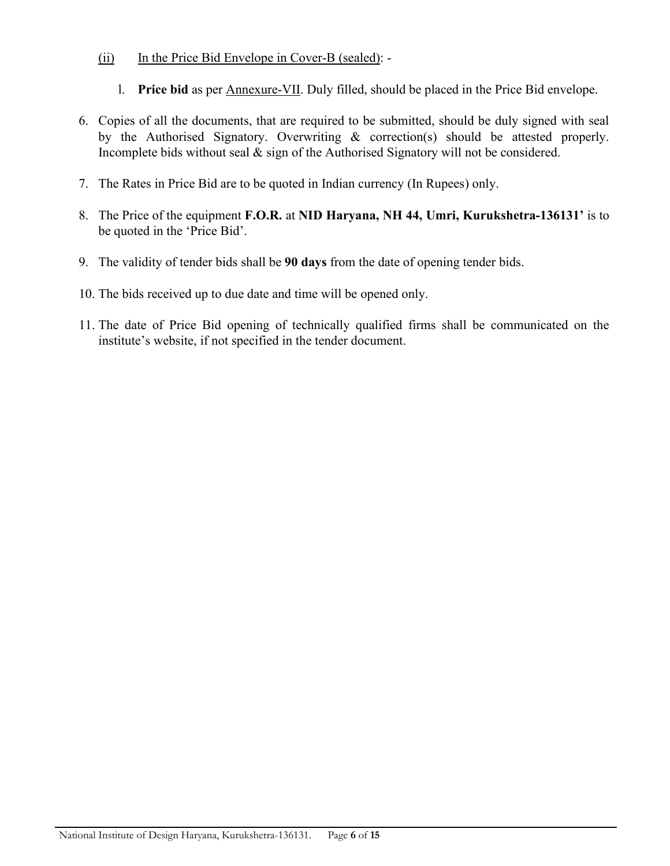#### (ii) In the Price Bid Envelope in Cover-B (sealed): -

- l. **Price bid** as per Annexure-VII. Duly filled, should be placed in the Price Bid envelope.
- 6. Copies of all the documents, that are required to be submitted, should be duly signed with seal by the Authorised Signatory. Overwriting & correction(s) should be attested properly. Incomplete bids without seal & sign of the Authorised Signatory will not be considered.
- 7. The Rates in Price Bid are to be quoted in Indian currency (In Rupees) only.
- 8. The Price of the equipment **F.O.R.** at **NID Haryana, NH 44, Umri, Kurukshetra-136131'** is to be quoted in the 'Price Bid'.
- 9. The validity of tender bids shall be **90 days** from the date of opening tender bids.
- 10. The bids received up to due date and time will be opened only.
- 11. The date of Price Bid opening of technically qualified firms shall be communicated on the institute's website, if not specified in the tender document.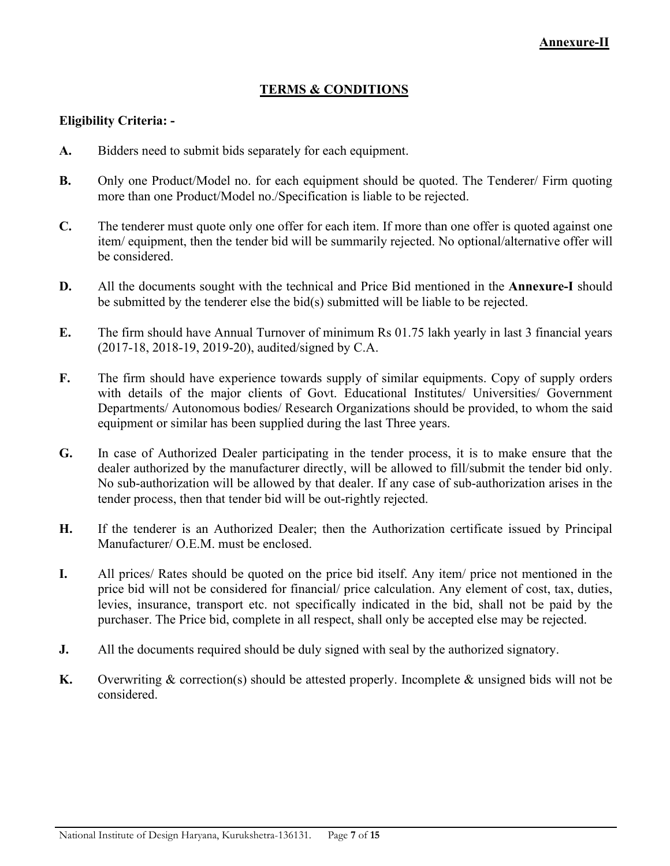#### **TERMS & CONDITIONS**

#### **Eligibility Criteria: -**

- **A.** Bidders need to submit bids separately for each equipment.
- **B.** Only one Product/Model no. for each equipment should be quoted. The Tenderer/ Firm quoting more than one Product/Model no./Specification is liable to be rejected.
- **C.** The tenderer must quote only one offer for each item. If more than one offer is quoted against one item/ equipment, then the tender bid will be summarily rejected. No optional/alternative offer will be considered.
- **D.** All the documents sought with the technical and Price Bid mentioned in the **Annexure-I** should be submitted by the tenderer else the bid(s) submitted will be liable to be rejected.
- **E.** The firm should have Annual Turnover of minimum Rs 01.75 lakh yearly in last 3 financial years (2017-18, 2018-19, 2019-20), audited/signed by C.A.
- **F.** The firm should have experience towards supply of similar equipments. Copy of supply orders with details of the major clients of Govt. Educational Institutes/ Universities/ Government Departments/ Autonomous bodies/ Research Organizations should be provided, to whom the said equipment or similar has been supplied during the last Three years.
- **G.** In case of Authorized Dealer participating in the tender process, it is to make ensure that the dealer authorized by the manufacturer directly, will be allowed to fill/submit the tender bid only. No sub-authorization will be allowed by that dealer. If any case of sub-authorization arises in the tender process, then that tender bid will be out-rightly rejected.
- **H.** If the tenderer is an Authorized Dealer; then the Authorization certificate issued by Principal Manufacturer/ O.E.M. must be enclosed.
- **I.** All prices/ Rates should be quoted on the price bid itself. Any item/ price not mentioned in the price bid will not be considered for financial/ price calculation. Any element of cost, tax, duties, levies, insurance, transport etc. not specifically indicated in the bid, shall not be paid by the purchaser. The Price bid, complete in all respect, shall only be accepted else may be rejected.
- **J.** All the documents required should be duly signed with seal by the authorized signatory.
- **K.** Overwriting & correction(s) should be attested properly. Incomplete & unsigned bids will not be considered.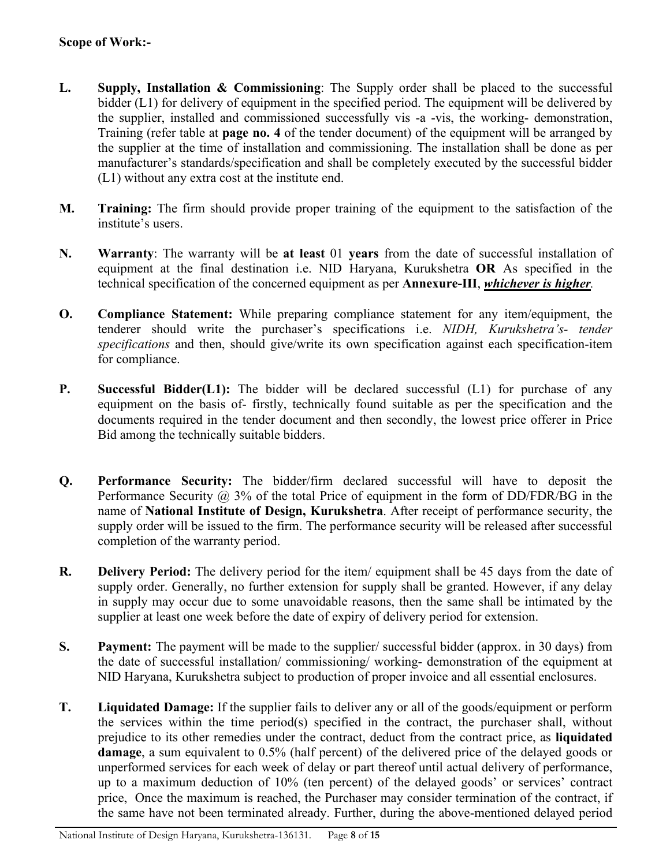#### **Scope of Work:-**

- **L. Supply, Installation & Commissioning**: The Supply order shall be placed to the successful bidder (L1) for delivery of equipment in the specified period. The equipment will be delivered by the supplier, installed and commissioned successfully vis -a -vis, the working- demonstration, Training (refer table at **page no. 4** of the tender document) of the equipment will be arranged by the supplier at the time of installation and commissioning. The installation shall be done as per manufacturer's standards/specification and shall be completely executed by the successful bidder (L1) without any extra cost at the institute end.
- **M. Training:** The firm should provide proper training of the equipment to the satisfaction of the institute's users.
- **N. Warranty**: The warranty will be **at least** 01 **years** from the date of successful installation of equipment at the final destination i.e. NID Haryana, Kurukshetra **OR** As specified in the technical specification of the concerned equipment as per **Annexure-III**, *whichever is higher.*
- **O. Compliance Statement:** While preparing compliance statement for any item/equipment, the tenderer should write the purchaser's specifications i.e. *NIDH, Kurukshetra's- tender specifications* and then, should give/write its own specification against each specification-item for compliance.
- **P.** Successful Bidder(L1): The bidder will be declared successful (L1) for purchase of any equipment on the basis of- firstly, technically found suitable as per the specification and the documents required in the tender document and then secondly, the lowest price offerer in Price Bid among the technically suitable bidders.
- **Q. Performance Security:** The bidder/firm declared successful will have to deposit the Performance Security  $(a)$  3% of the total Price of equipment in the form of DD/FDR/BG in the name of **National Institute of Design, Kurukshetra**. After receipt of performance security, the supply order will be issued to the firm. The performance security will be released after successful completion of the warranty period.
- **R. Delivery Period:** The delivery period for the item/ equipment shall be 45 days from the date of supply order. Generally, no further extension for supply shall be granted. However, if any delay in supply may occur due to some unavoidable reasons, then the same shall be intimated by the supplier at least one week before the date of expiry of delivery period for extension.
- **S. Payment:** The payment will be made to the supplier/ successful bidder (approx. in 30 days) from the date of successful installation/ commissioning/ working- demonstration of the equipment at NID Haryana, Kurukshetra subject to production of proper invoice and all essential enclosures.
- **T. Liquidated Damage:** If the supplier fails to deliver any or all of the goods/equipment or perform the services within the time period(s) specified in the contract, the purchaser shall, without prejudice to its other remedies under the contract, deduct from the contract price, as **liquidated damage**, a sum equivalent to 0.5% (half percent) of the delivered price of the delayed goods or unperformed services for each week of delay or part thereof until actual delivery of performance, up to a maximum deduction of 10% (ten percent) of the delayed goods' or services' contract price, Once the maximum is reached, the Purchaser may consider termination of the contract, if the same have not been terminated already. Further, during the above-mentioned delayed period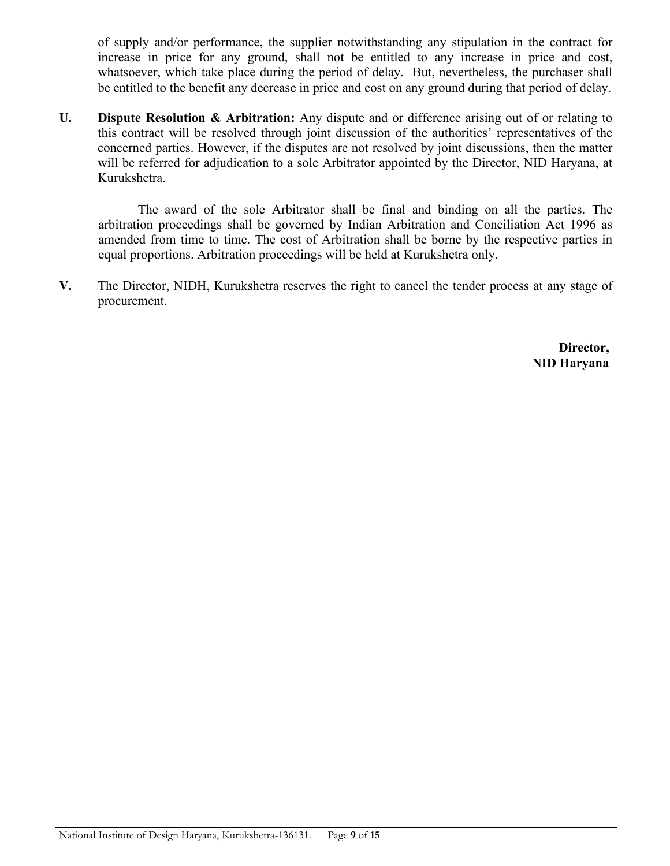of supply and/or performance, the supplier notwithstanding any stipulation in the contract for increase in price for any ground, shall not be entitled to any increase in price and cost, whatsoever, which take place during the period of delay. But, nevertheless, the purchaser shall be entitled to the benefit any decrease in price and cost on any ground during that period of delay.

**U. Dispute Resolution & Arbitration:** Any dispute and or difference arising out of or relating to this contract will be resolved through joint discussion of the authorities' representatives of the concerned parties. However, if the disputes are not resolved by joint discussions, then the matter will be referred for adjudication to a sole Arbitrator appointed by the Director, NID Haryana, at Kurukshetra.

The award of the sole Arbitrator shall be final and binding on all the parties. The arbitration proceedings shall be governed by Indian Arbitration and Conciliation Act 1996 as amended from time to time. The cost of Arbitration shall be borne by the respective parties in equal proportions. Arbitration proceedings will be held at Kurukshetra only.

**V.** The Director, NIDH, Kurukshetra reserves the right to cancel the tender process at any stage of procurement.

> **Director, NID Haryana**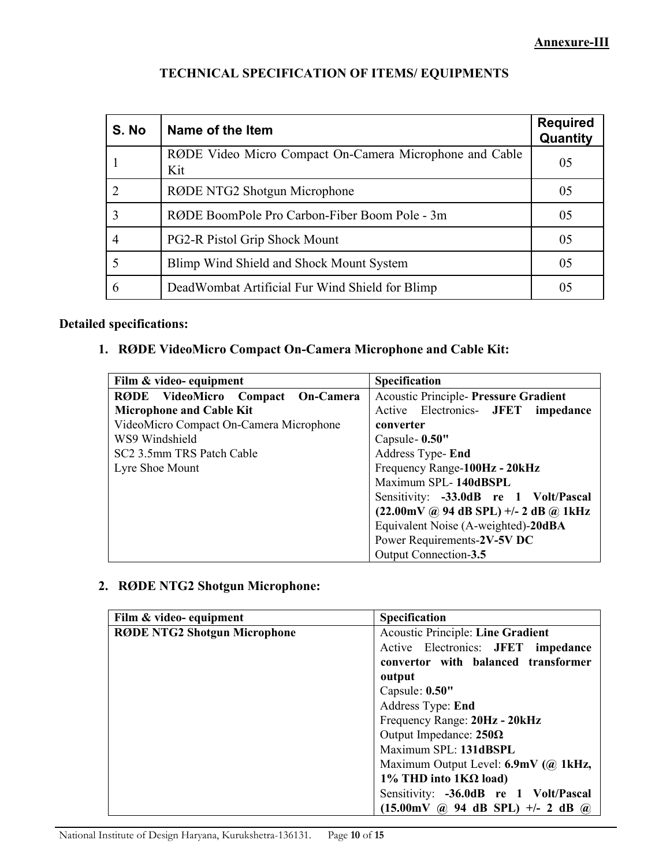| S. No | Name of the Item                                               | <b>Required</b><br>Quantity |
|-------|----------------------------------------------------------------|-----------------------------|
|       | RØDE Video Micro Compact On-Camera Microphone and Cable<br>Kit | 05                          |
|       | RØDE NTG2 Shotgun Microphone                                   | 05                          |
| 3     | RØDE BoomPole Pro Carbon-Fiber Boom Pole - 3m                  | 05                          |
| 4     | PG2-R Pistol Grip Shock Mount                                  | 05                          |
|       | Blimp Wind Shield and Shock Mount System                       | 05                          |
| 6     | DeadWombat Artificial Fur Wind Shield for Blimp                | 05                          |

#### **TECHNICAL SPECIFICATION OF ITEMS/ EQUIPMENTS**

#### **Detailed specifications:**

#### **1. RØDE VideoMicro Compact On-Camera Microphone and Cable Kit:**

| Film & video-equipment                  | <b>Specification</b>                                                                                   |  |  |  |
|-----------------------------------------|--------------------------------------------------------------------------------------------------------|--|--|--|
| RØDE VideoMicro Compact On-Camera       | <b>Acoustic Principle- Pressure Gradient</b>                                                           |  |  |  |
| <b>Microphone and Cable Kit</b>         | Active Electronics- JFET impedance                                                                     |  |  |  |
| VideoMicro Compact On-Camera Microphone | converter                                                                                              |  |  |  |
| WS9 Windshield                          | Capsule-0.50"                                                                                          |  |  |  |
| SC <sub>2</sub> 3.5mm TRS Patch Cable   | Address Type-End                                                                                       |  |  |  |
| Lyre Shoe Mount                         | Frequency Range-100Hz - 20kHz                                                                          |  |  |  |
|                                         | Maximum SPL-140dBSPL                                                                                   |  |  |  |
|                                         | Sensitivity: -33.0dB re 1 Volt/Pascal                                                                  |  |  |  |
|                                         | $(22.00 \text{mV} \ (\hat{a})\ 94 \text{ dB} \ \text{SPL}) +/- 2 \text{ dB} \ (\hat{a})\ 1 \text{kHz}$ |  |  |  |
|                                         | Equivalent Noise (A-weighted)-20dBA                                                                    |  |  |  |
|                                         | Power Requirements-2V-5V DC                                                                            |  |  |  |
|                                         | Output Connection-3.5                                                                                  |  |  |  |

#### **2. RØDE NTG2 Shotgun Microphone:**

| Film & video-equipment              | <b>Specification</b>                                                                    |  |  |  |
|-------------------------------------|-----------------------------------------------------------------------------------------|--|--|--|
| <b>RØDE NTG2 Shotgun Microphone</b> | <b>Acoustic Principle: Line Gradient</b>                                                |  |  |  |
|                                     | Active Electronics: JFET impedance                                                      |  |  |  |
|                                     | convertor with balanced transformer                                                     |  |  |  |
|                                     | output                                                                                  |  |  |  |
|                                     | Capsule: 0.50"                                                                          |  |  |  |
|                                     | Address Type: End                                                                       |  |  |  |
|                                     | Frequency Range: 20Hz - 20kHz                                                           |  |  |  |
|                                     | Output Impedance: $250\Omega$                                                           |  |  |  |
|                                     | Maximum SPL: 131dBSPL                                                                   |  |  |  |
|                                     | Maximum Output Level: 6.9mV (@ 1kHz,                                                    |  |  |  |
|                                     | 1% THD into 1KΩ load)                                                                   |  |  |  |
|                                     | Sensitivity: -36.0dB re 1 Volt/Pascal                                                   |  |  |  |
|                                     | $(15.00 \text{mV} \ @ \ 94 \text{ dB} \ \text{SPL}) +/- 2 \text{ dB} \ @ \ \widehat{a}$ |  |  |  |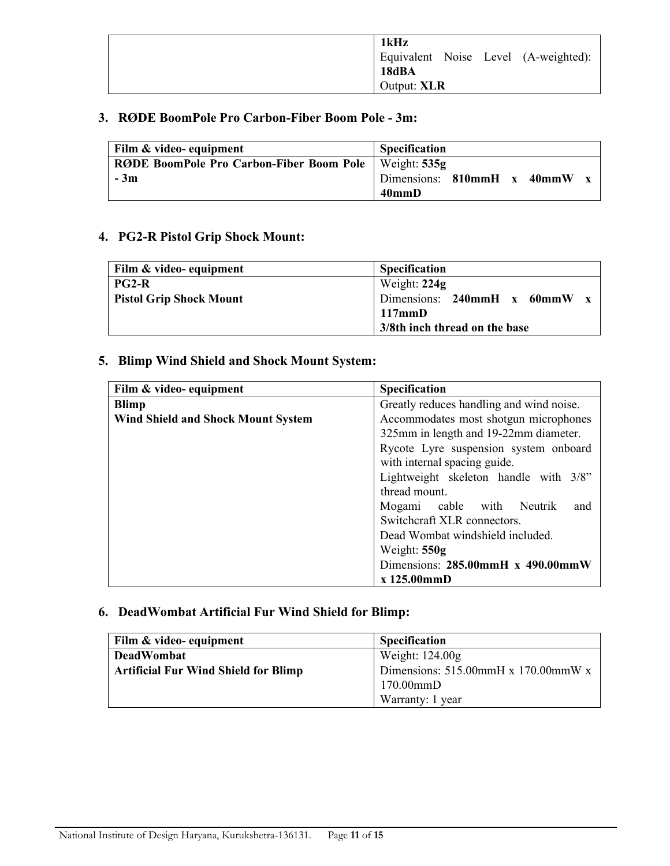| 1kHz                                 |
|--------------------------------------|
| Equivalent Noise Level (A-weighted): |
| 18dBA                                |
| Output: <b>XLR</b>                   |

#### **3. RØDE BoomPole Pro Carbon-Fiber Boom Pole - 3m:**

| Film & video-equipment                                         | <b>Specification</b>         |
|----------------------------------------------------------------|------------------------------|
| <b>RØDE BoomPole Pro Carbon-Fiber Boom Pole</b>   Weight: 535g |                              |
| $-3m$                                                          | Dimensions: 810mmH x 40mmW x |
|                                                                | 40mmD                        |

#### **4. PG2-R Pistol Grip Shock Mount:**

| Film & video-equipment  | <b>Specification</b>          |  |  |
|-------------------------|-------------------------------|--|--|
| $PG2-R$                 | Weight: 224g                  |  |  |
| Pistol Grip Shock Mount | Dimensions: 240mmH x 60mmW x  |  |  |
|                         | 117mmD                        |  |  |
|                         | 3/8th inch thread on the base |  |  |

#### **5. Blimp Wind Shield and Shock Mount System:**

| Film & video-equipment                    | <b>Specification</b>                     |  |  |  |
|-------------------------------------------|------------------------------------------|--|--|--|
| <b>Blimp</b>                              | Greatly reduces handling and wind noise. |  |  |  |
| <b>Wind Shield and Shock Mount System</b> | Accommodates most shotgun microphones    |  |  |  |
|                                           | 325mm in length and 19-22mm diameter.    |  |  |  |
|                                           | Rycote Lyre suspension system onboard    |  |  |  |
|                                           | with internal spacing guide.             |  |  |  |
|                                           | Lightweight skeleton handle with 3/8"    |  |  |  |
| thread mount.                             |                                          |  |  |  |
| Mogami cable with<br>Neutrik              |                                          |  |  |  |
| Switchcraft XLR connectors.               |                                          |  |  |  |
|                                           | Dead Wombat windshield included.         |  |  |  |
|                                           | Weight: 550g                             |  |  |  |
|                                           | Dimensions: 285.00mmH x 490.00mmW        |  |  |  |
|                                           | $x$ 125.00 $mmD$                         |  |  |  |

#### **6. DeadWombat Artificial Fur Wind Shield for Blimp:**

| Film & video-equipment                      | <b>Specification</b>                |  |  |
|---------------------------------------------|-------------------------------------|--|--|
| <b>DeadWombat</b>                           | Weight: $124.00g$                   |  |  |
| <b>Artificial Fur Wind Shield for Blimp</b> | Dimensions: 515.00mmH x 170.00mmW x |  |  |
|                                             | $170.00$ mm $D$                     |  |  |
|                                             | Warranty: 1 year                    |  |  |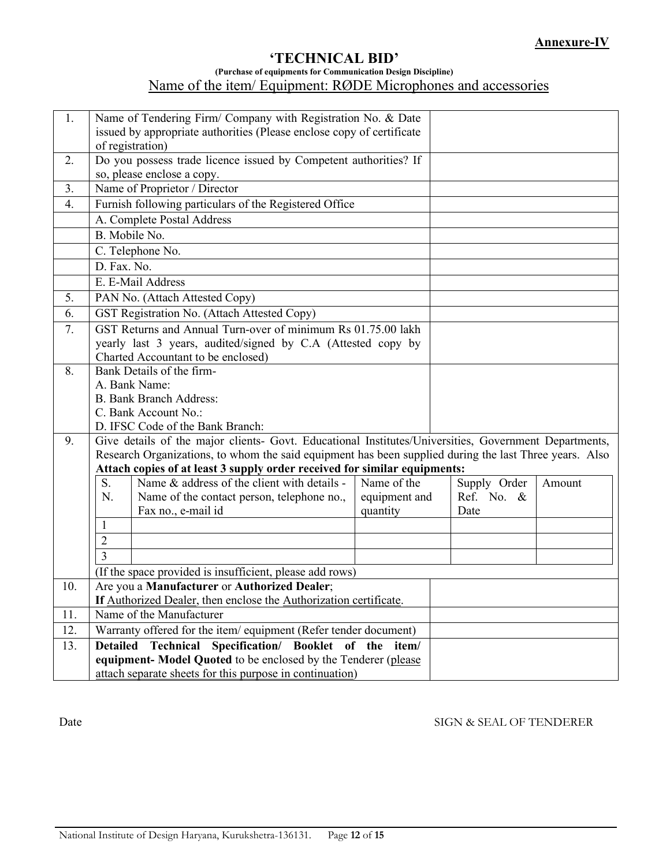#### **'TECHNICAL BID'**

#### **(Purchase of equipments for Communication Design Discipline)** Name of the item/ Equipment: RØDE Microphones and accessories

| 1.               | Name of Tendering Firm/ Company with Registration No. & Date<br>issued by appropriate authorities (Please enclose copy of certificate<br>of registration) |               |  |              |        |
|------------------|-----------------------------------------------------------------------------------------------------------------------------------------------------------|---------------|--|--------------|--------|
| 2.               | Do you possess trade licence issued by Competent authorities? If<br>so, please enclose a copy.                                                            |               |  |              |        |
| 3.               | Name of Proprietor / Director                                                                                                                             |               |  |              |        |
| $\overline{4}$ . | Furnish following particulars of the Registered Office                                                                                                    |               |  |              |        |
|                  | A. Complete Postal Address                                                                                                                                |               |  |              |        |
|                  | B. Mobile No.                                                                                                                                             |               |  |              |        |
|                  | C. Telephone No.                                                                                                                                          |               |  |              |        |
|                  | D. Fax. No.                                                                                                                                               |               |  |              |        |
|                  | E. E-Mail Address                                                                                                                                         |               |  |              |        |
| 5.               | PAN No. (Attach Attested Copy)                                                                                                                            |               |  |              |        |
| 6.               | GST Registration No. (Attach Attested Copy)                                                                                                               |               |  |              |        |
| 7.               | GST Returns and Annual Turn-over of minimum Rs 01.75.00 lakh                                                                                              |               |  |              |        |
|                  | yearly last 3 years, audited/signed by C.A (Attested copy by                                                                                              |               |  |              |        |
|                  | Charted Accountant to be enclosed)                                                                                                                        |               |  |              |        |
| 8.               | Bank Details of the firm-                                                                                                                                 |               |  |              |        |
|                  | A. Bank Name:                                                                                                                                             |               |  |              |        |
|                  | <b>B. Bank Branch Address:</b>                                                                                                                            |               |  |              |        |
|                  | C. Bank Account No.:                                                                                                                                      |               |  |              |        |
|                  | D. IFSC Code of the Bank Branch:                                                                                                                          |               |  |              |        |
| 9.               | Give details of the major clients- Govt. Educational Institutes/Universities, Government Departments,                                                     |               |  |              |        |
|                  | Research Organizations, to whom the said equipment has been supplied during the last Three years. Also                                                    |               |  |              |        |
|                  | Attach copies of at least 3 supply order received for similar equipments:<br>S.<br>Name & address of the client with details -                            | Name of the   |  | Supply Order | Amount |
|                  | N.<br>Name of the contact person, telephone no.,                                                                                                          | equipment and |  | Ref. No. $&$ |        |
|                  | Fax no., e-mail id                                                                                                                                        | quantity      |  | Date         |        |
|                  | $\mathbf{1}$                                                                                                                                              |               |  |              |        |
|                  | $\overline{2}$                                                                                                                                            |               |  |              |        |
|                  | $\overline{3}$                                                                                                                                            |               |  |              |        |
|                  | (If the space provided is insufficient, please add rows)                                                                                                  |               |  |              |        |
| 10.              | Are you a Manufacturer or Authorized Dealer;                                                                                                              |               |  |              |        |
|                  | If Authorized Dealer, then enclose the Authorization certificate.                                                                                         |               |  |              |        |
| 11.              | Name of the Manufacturer                                                                                                                                  |               |  |              |        |
| 12.              | Warranty offered for the item/equipment (Refer tender document)                                                                                           |               |  |              |        |
| 13.              | Technical Specification/ Booklet of the item/<br><b>Detailed</b>                                                                                          |               |  |              |        |
|                  | equipment- Model Quoted to be enclosed by the Tenderer (please                                                                                            |               |  |              |        |
|                  | attach separate sheets for this purpose in continuation)                                                                                                  |               |  |              |        |

Date SIGN & SEAL OF TENDERER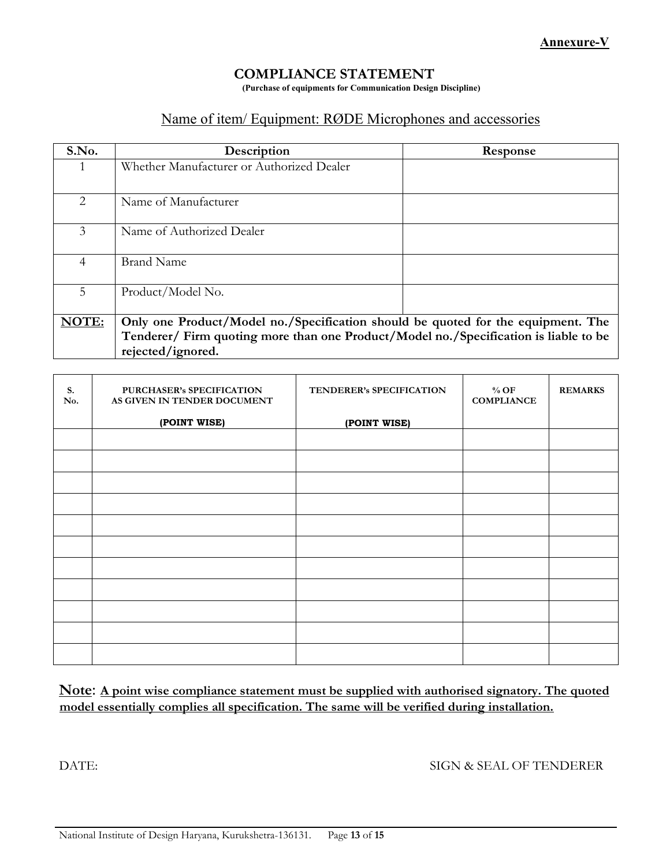# **COMPLIANCE STATEMENT (Purchase of equipments for Communication Design Discipline)**

#### Name of item/ Equipment: RØDE Microphones and accessories

| S.No.          | Description                                                                          | Response |  |  |  |  |
|----------------|--------------------------------------------------------------------------------------|----------|--|--|--|--|
|                | Whether Manufacturer or Authorized Dealer                                            |          |  |  |  |  |
| 2              | Name of Manufacturer                                                                 |          |  |  |  |  |
| 3              | Name of Authorized Dealer                                                            |          |  |  |  |  |
| 4              | <b>Brand Name</b>                                                                    |          |  |  |  |  |
| $\overline{5}$ | Product/Model No.                                                                    |          |  |  |  |  |
| NOTE:          | Only one Product/Model no./Specification should be quoted for the equipment. The     |          |  |  |  |  |
|                | Tenderer/ Firm quoting more than one Product/Model no./Specification is liable to be |          |  |  |  |  |
|                | rejected/ignored.                                                                    |          |  |  |  |  |

| S.<br>No. | <b>PURCHASER's SPECIFICATION</b><br>AS GIVEN IN TENDER DOCUMENT | TENDERER's SPECIFICATION | $%$ OF<br><b>COMPLIANCE</b> | <b>REMARKS</b> |
|-----------|-----------------------------------------------------------------|--------------------------|-----------------------------|----------------|
|           | (POINT WISE)                                                    | (POINT WISE)             |                             |                |
|           |                                                                 |                          |                             |                |
|           |                                                                 |                          |                             |                |
|           |                                                                 |                          |                             |                |
|           |                                                                 |                          |                             |                |
|           |                                                                 |                          |                             |                |
|           |                                                                 |                          |                             |                |
|           |                                                                 |                          |                             |                |
|           |                                                                 |                          |                             |                |
|           |                                                                 |                          |                             |                |
|           |                                                                 |                          |                             |                |
|           |                                                                 |                          |                             |                |

**Note**: **A point wise compliance statement must be supplied with authorised signatory. The quoted model essentially complies all specification. The same will be verified during installation.**

DATE: SIGN & SEAL OF TENDERER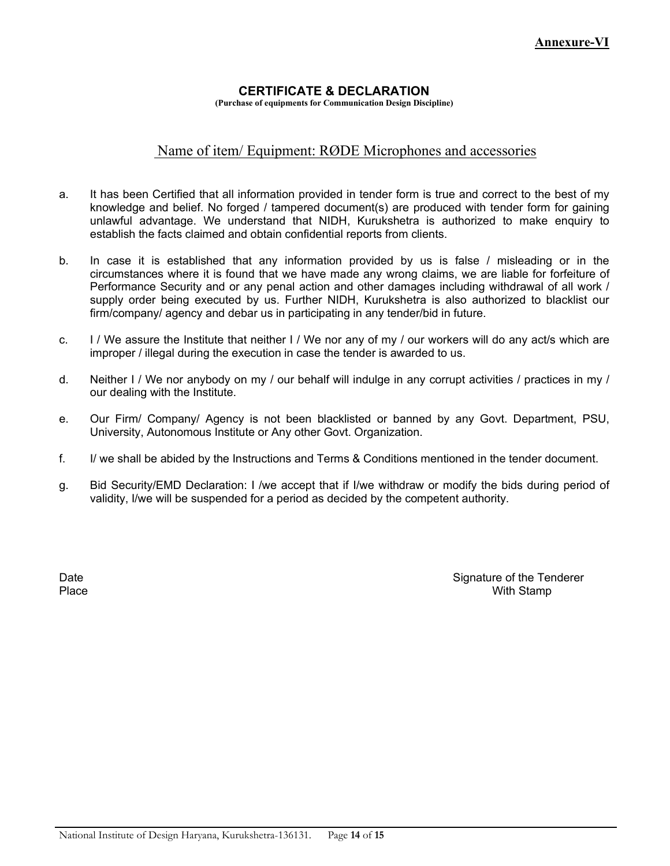#### **CERTIFICATE & DECLARATION**

**(Purchase of equipments for Communication Design Discipline)**

#### Name of item/ Equipment: RØDE Microphones and accessories

- a. It has been Certified that all information provided in tender form is true and correct to the best of my knowledge and belief. No forged / tampered document(s) are produced with tender form for gaining unlawful advantage. We understand that NIDH, Kurukshetra is authorized to make enquiry to establish the facts claimed and obtain confidential reports from clients.
- b. In case it is established that any information provided by us is false / misleading or in the circumstances where it is found that we have made any wrong claims, we are liable for forfeiture of Performance Security and or any penal action and other damages including withdrawal of all work / supply order being executed by us. Further NIDH, Kurukshetra is also authorized to blacklist our firm/company/ agency and debar us in participating in any tender/bid in future.
- c. I / We assure the Institute that neither I / We nor any of my / our workers will do any act/s which are improper / illegal during the execution in case the tender is awarded to us.
- d. Neither I / We nor anybody on my / our behalf will indulge in any corrupt activities / practices in my / our dealing with the Institute.
- e. Our Firm/ Company/ Agency is not been blacklisted or banned by any Govt. Department, PSU, University, Autonomous Institute or Any other Govt. Organization.
- f. I/ we shall be abided by the Instructions and Terms & Conditions mentioned in the tender document.
- g. Bid Security/EMD Declaration: I /we accept that if I/we withdraw or modify the bids during period of validity, I/we will be suspended for a period as decided by the competent authority.

Date Signature of the Tenderer Secret Allen Signature of the Tenderer Signature of the Tenderer Place With Stamp